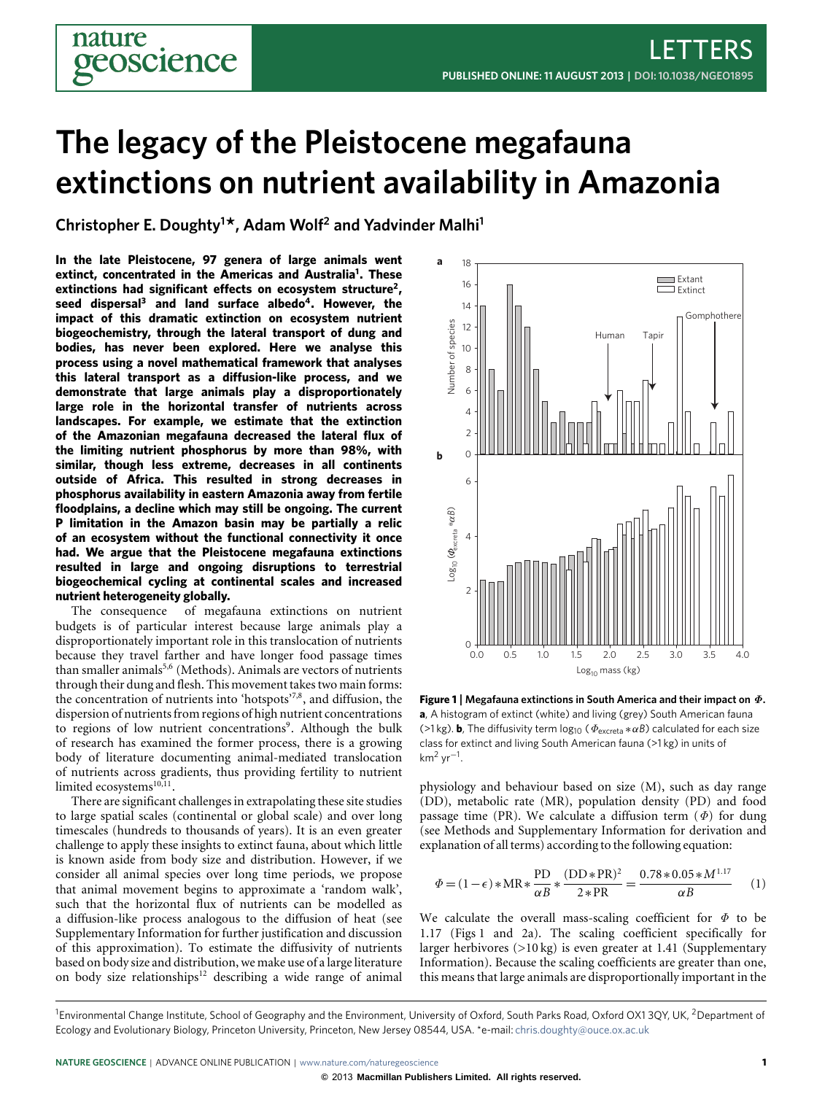# **The legacy of the Pleistocene megafauna extinctions on nutrient availability in Amazonia**

**Christopher E. Doughty<sup>1</sup> \*, Adam Wolf<sup>2</sup> and Yadvinder Malhi<sup>1</sup>**

oscience

**In the late Pleistocene, 97 genera of large animals went extinct, concentrated in the Americas and Australia[1](#page-3-0) . These extinctions had significant effects on ecosystem structure[2](#page-3-1) , seed dispersal[3](#page-3-2) and land surface albedo[4](#page-3-3) . However, the impact of this dramatic extinction on ecosystem nutrient biogeochemistry, through the lateral transport of dung and bodies, has never been explored. Here we analyse this process using a novel mathematical framework that analyses this lateral transport as a diffusion-like process, and we demonstrate that large animals play a disproportionately large role in the horizontal transfer of nutrients across landscapes. For example, we estimate that the extinction of the Amazonian megafauna decreased the lateral flux of the limiting nutrient phosphorus by more than 98%, with similar, though less extreme, decreases in all continents outside of Africa. This resulted in strong decreases in phosphorus availability in eastern Amazonia away from fertile floodplains, a decline which may still be ongoing. The current P limitation in the Amazon basin may be partially a relic of an ecosystem without the functional connectivity it once had. We argue that the Pleistocene megafauna extinctions resulted in large and ongoing disruptions to terrestrial biogeochemical cycling at continental scales and increased nutrient heterogeneity globally.**

The consequence of megafauna extinctions on nutrient budgets is of particular interest because large animals play a disproportionately important role in this translocation of nutrients because they travel farther and have longer food passage times than smaller animals<sup>[5,](#page-3-4)[6](#page-3-5)</sup> (Methods). Animals are vectors of nutrients through their dung and flesh. This movement takes two main forms: the concentration of nutrients into 'hotspots'<sup>[7,](#page-3-6)[8](#page-3-7)</sup>, and diffusion, the dispersion of nutrients from regions of high nutrient concentrations to regions of low nutrient concentrations<sup>[9](#page-3-8)</sup>. Although the bulk of research has examined the former process, there is a growing body of literature documenting animal-mediated translocation of nutrients across gradients, thus providing fertility to nutrient limited ecosystems<sup>[10](#page-3-9)[,11](#page-3-10)</sup>.

There are significant challenges in extrapolating these site studies to large spatial scales (continental or global scale) and over long timescales (hundreds to thousands of years). It is an even greater challenge to apply these insights to extinct fauna, about which little is known aside from body size and distribution. However, if we consider all animal species over long time periods, we propose that animal movement begins to approximate a 'random walk', such that the horizontal flux of nutrients can be modelled as a diffusion-like process analogous to the diffusion of heat (see Supplementary Information for further justification and discussion of this approximation). To estimate the diffusivity of nutrients based on body size and distribution, we make use of a large literature on body size relationships<sup>[12](#page-3-11)</sup> describing a wide range of animal



<span id="page-0-0"></span>**Figure 1** | **Megafauna extinctions in South America and their impact on** Φ**. a**, A histogram of extinct (white) and living (grey) South American fauna (>1 kg). **b**, The diffusivity term  $log_{10}$  ( $\Phi_{\text{excreta}} * \alpha B$ ) calculated for each size class for extinct and living South American fauna (>1 kg) in units of km<sup>2</sup> yr−<sup>1</sup> .

physiology and behaviour based on size (M), such as day range (DD), metabolic rate (MR), population density (PD) and food passage time (PR). We calculate a diffusion term  $(\Phi)$  for dung (see Methods and Supplementary Information for derivation and explanation of all terms) according to the following equation:

<span id="page-0-1"></span>
$$
\Phi = (1 - \epsilon) * MR * \frac{PD}{\alpha B} * \frac{(DD * PR)^2}{2 * PR} = \frac{0.78 * 0.05 * M^{1.17}}{\alpha B} \tag{1}
$$

We calculate the overall mass-scaling coefficient for  $\Phi$  to be 1.17 [\(Figs 1](#page-0-0) and [2a](#page-1-0)). The scaling coefficient specifically for larger herbivores (>10 kg) is even greater at 1.41 (Supplementary Information). Because the scaling coefficients are greater than one, this means that large animals are disproportionally important in the

<sup>&</sup>lt;sup>1</sup>Environmental Change Institute, School of Geography and the Environment, University of Oxford, South Parks Road, Oxford OX1 3QY, UK, <sup>2</sup>Department of Ecology and Evolutionary Biology, Princeton University, Princeton, New Jersey 08544, USA. \*e-mail: [chris.doughty@ouce.ox.ac.uk](mailto:chris.doughty@ouce.ox.ac.uk)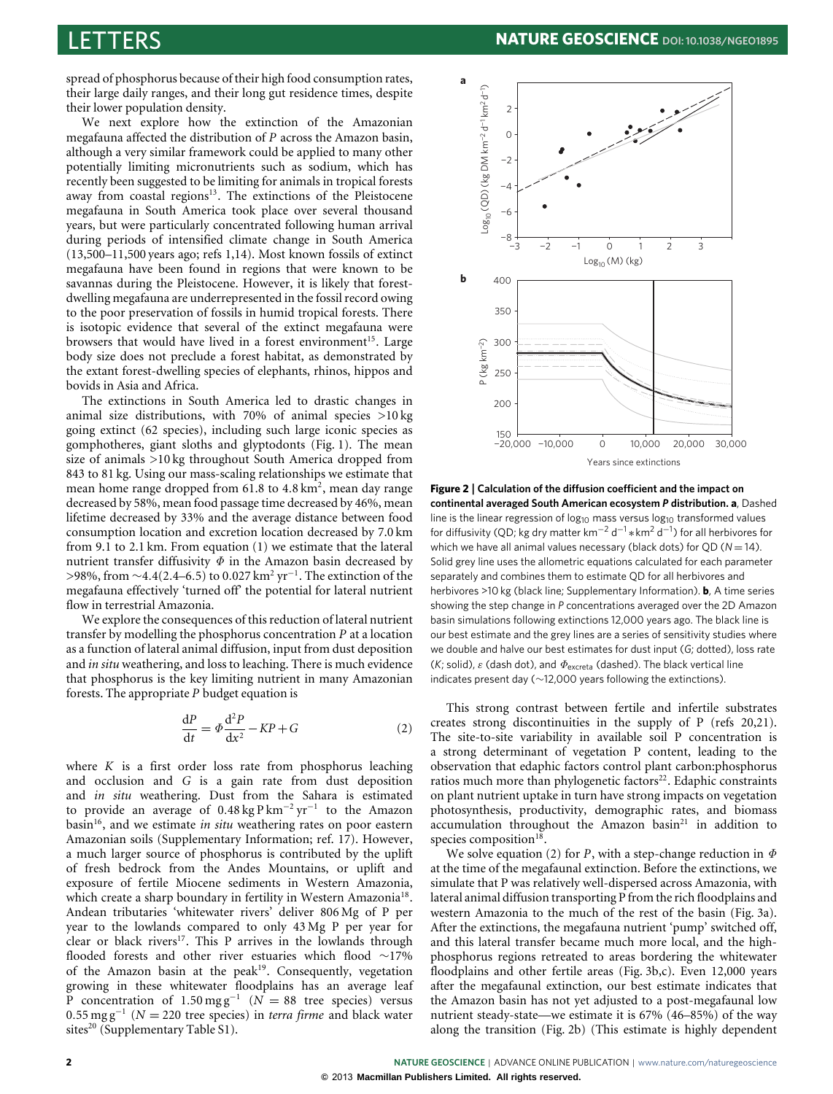spread of phosphorus because of their high food consumption rates, their large daily ranges, and their long gut residence times, despite their lower population density.

We next explore how the extinction of the Amazonian megafauna affected the distribution of *P* across the Amazon basin, although a very similar framework could be applied to many other potentially limiting micronutrients such as sodium, which has recently been suggested to be limiting for animals in tropical forests away from coastal regions<sup>[13](#page-3-12)</sup>. The extinctions of the Pleistocene megafauna in South America took place over several thousand years, but were particularly concentrated following human arrival during periods of intensified climate change in South America (13,500–11,500 years ago; refs [1](#page-3-0)[,14\)](#page-3-13). Most known fossils of extinct megafauna have been found in regions that were known to be savannas during the Pleistocene. However, it is likely that forestdwelling megafauna are underrepresented in the fossil record owing to the poor preservation of fossils in humid tropical forests. There is isotopic evidence that several of the extinct megafauna were browsers that would have lived in a forest environment<sup>[15](#page-3-14)</sup>. Large body size does not preclude a forest habitat, as demonstrated by the extant forest-dwelling species of elephants, rhinos, hippos and bovids in Asia and Africa.

The extinctions in South America led to drastic changes in animal size distributions, with 70% of animal species  $>10 \text{ kg}$ going extinct (62 species), including such large iconic species as gomphotheres, giant sloths and glyptodonts [\(Fig. 1\)](#page-0-0). The mean size of animals >10 kg throughout South America dropped from 843 to 81 kg. Using our mass-scaling relationships we estimate that mean home range dropped from 61.8 to 4.8 km<sup>2</sup>, mean day range decreased by 58%, mean food passage time decreased by 46%, mean lifetime decreased by 33% and the average distance between food consumption location and excretion location decreased by 7.0 km from 9.1 to 2.1 km. From equation [\(1\)](#page-0-1) we estimate that the lateral nutrient transfer diffusivity  $\Phi$  in the Amazon basin decreased by >98%, from ~4.4(2.4–6.5) to 0.027 km<sup>2</sup> yr<sup>-1</sup>. The extinction of the megafauna effectively 'turned off' the potential for lateral nutrient flow in terrestrial Amazonia.

We explore the consequences of this reduction of lateral nutrient transfer by modelling the phosphorus concentration *P* at a location as a function of lateral animal diffusion, input from dust deposition and *in situ* weathering, and loss to leaching. There is much evidence that phosphorus is the key limiting nutrient in many Amazonian forests. The appropriate *P* budget equation is

$$
\frac{\mathrm{d}P}{\mathrm{d}t} = \Phi \frac{\mathrm{d}^2 P}{\mathrm{d}x^2} - KP + G \tag{2}
$$

<span id="page-1-1"></span>where *K* is a first order loss rate from phosphorus leaching and occlusion and *G* is a gain rate from dust deposition and *in situ* weathering. Dust from the Sahara is estimated to provide an average of 0.48 kg P km<sup>−</sup><sup>2</sup> yr<sup>−</sup><sup>1</sup> to the Amazon basin<sup>[16](#page-3-15)</sup>, and we estimate *in situ* weathering rates on poor eastern Amazonian soils (Supplementary Information; ref. [17\)](#page-3-16). However, a much larger source of phosphorus is contributed by the uplift of fresh bedrock from the Andes Mountains, or uplift and exposure of fertile Miocene sediments in Western Amazonia, which create a sharp boundary in fertility in Western Amazonia<sup>[18](#page-3-17)</sup>. Andean tributaries 'whitewater rivers' deliver 806 Mg of P per year to the lowlands compared to only 43 Mg P per year for clear or black rivers<sup>[17](#page-3-16)</sup>. This P arrives in the lowlands through flooded forests and other river estuaries which flood ∼17% of the Amazon basin at the peak<sup>[19](#page-3-18)</sup>. Consequently, vegetation growing in these whitewater floodplains has an average leaf P concentration of 1.50 mg g<sup>-1</sup> ( $N = 88$  tree species) versus 0.55 mg g<sup>−</sup><sup>1</sup> (*N* = 220 tree species) in *terra firme* and black water sites<sup>[20](#page-3-19)</sup> (Supplementary Table S1).



<span id="page-1-0"></span>**Figure 2** | **Calculation of the diffusion coefficient and the impact on continental averaged South American ecosystem** *P* **distribution. a**, Dashed line is the linear regression of  $log_{10}$  mass versus  $log_{10}$  transformed values for diffusivity (QD; kg dry matter km<sup>-2</sup> d<sup>-1</sup> \* km<sup>2</sup> d<sup>-1</sup>) for all herbivores for which we have all animal values necessary (black dots) for QD ( $N = 14$ ). Solid grey line uses the allometric equations calculated for each parameter separately and combines them to estimate QD for all herbivores and herbivores >10 kg (black line; Supplementary Information). **b**, A time series showing the step change in *P* concentrations averaged over the 2D Amazon basin simulations following extinctions 12,000 years ago. The black line is our best estimate and the grey lines are a series of sensitivity studies where we double and halve our best estimates for dust input (*G*; dotted), loss rate (*K*; solid),  $\varepsilon$  (dash dot), and  $\Phi_{\text{excreta}}$  (dashed). The black vertical line indicates present day (∼12,000 years following the extinctions).

This strong contrast between fertile and infertile substrates creates strong discontinuities in the supply of P (refs [20,](#page-3-19)[21\)](#page-3-20). The site-to-site variability in available soil P concentration is a strong determinant of vegetation P content, leading to the observation that edaphic factors control plant carbon:phosphorus ratios much more than phylogenetic factors<sup>[22](#page-3-21)</sup>. Edaphic constraints on plant nutrient uptake in turn have strong impacts on vegetation photosynthesis, productivity, demographic rates, and biomass accumulation throughout the Amazon basin<sup>[21](#page-3-20)</sup> in addition to species composition<sup>[18](#page-3-17)</sup>.

We solve equation [\(2\)](#page-1-1) for *P*, with a step-change reduction in  $\Phi$ at the time of the megafaunal extinction. Before the extinctions, we simulate that P was relatively well-dispersed across Amazonia, with lateral animal diffusion transporting P from the rich floodplains and western Amazonia to the much of the rest of the basin [\(Fig. 3a](#page-2-0)). After the extinctions, the megafauna nutrient 'pump' switched off, and this lateral transfer became much more local, and the highphosphorus regions retreated to areas bordering the whitewater floodplains and other fertile areas [\(Fig. 3b](#page-2-0),c). Even 12,000 years after the megafaunal extinction, our best estimate indicates that the Amazon basin has not yet adjusted to a post-megafaunal low nutrient steady-state—we estimate it is 67% (46–85%) of the way along the transition [\(Fig. 2b](#page-1-0)) (This estimate is highly dependent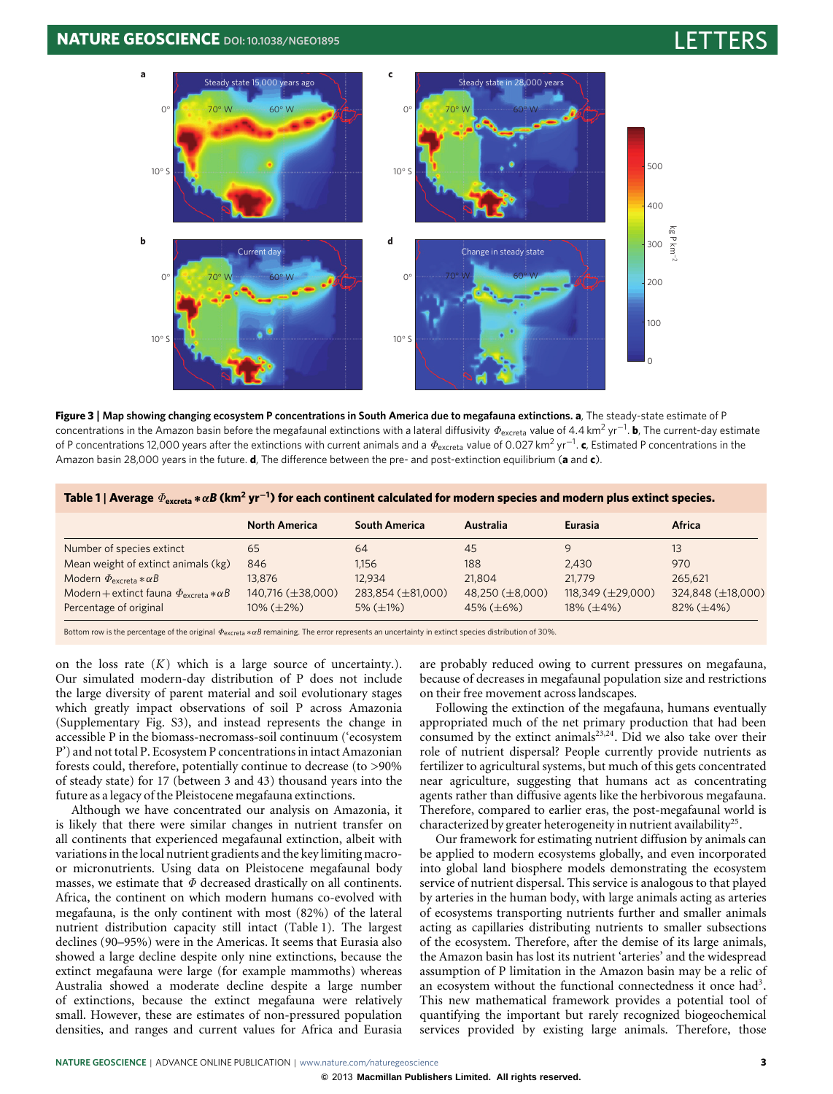## **NATURE GEOSCIENCE** DOI: [10.1038/NGEO1895](http://www.nature.com/doifinder/10.1038/ngeo1895)



<span id="page-2-0"></span>**Figure 3** | **Map showing changing ecosystem P concentrations in South America due to megafauna extinctions. a**, The steady-state estimate of P concentrations in the Amazon basin before the megafaunal extinctions with a lateral diffusivity  $\varPhi_\mathrm{excreta}$  value of 4.4 km<sup>2</sup> yr<sup>−1</sup>. **b**, The current-day estimate of P concentrations 12,000 years after the extinctions with current animals and a  $\Phi_\mathrm{exceta}$  value of 0.027 km<sup>2</sup> yr<sup>−1</sup>. **c**, Estimated P concentrations in the Amazon basin 28,000 years in the future. **d**, The difference between the pre- and post-extinction equilibrium (**a** and **c**).

<span id="page-2-1"></span>

| Table 1   Average $\Phi_{\text{excreta}} * \alpha B$ (km <sup>2</sup> yr <sup>-1</sup> ) for each continent calculated for modern species and modern plus extinct species. |  |
|----------------------------------------------------------------------------------------------------------------------------------------------------------------------------|--|
|                                                                                                                                                                            |  |

|                                                           | <b>North America</b> | <b>South America</b> | Australia       | Eurasia                  | Africa               |
|-----------------------------------------------------------|----------------------|----------------------|-----------------|--------------------------|----------------------|
| Number of species extinct                                 | 65                   | 64                   | 45              | q                        | 13                   |
| Mean weight of extinct animals (kg)                       | 846                  | 1.156                | 188             | 2.430                    | 970                  |
| Modern $\Phi_{\text{excreta}} * \alpha B$                 | 13,876               | 12.934               | 21.804          | 21,779                   | 265.621              |
| Modern + extinct fauna $\Phi_{\text{excreta}} * \alpha B$ | 140,716 (±38,000)    | 283,854 (±81,000)    | 48,250 (±8,000) | $118,349 \ (\pm 29,000)$ | 324,848 (±18,000)    |
| Percentage of original                                    | $10\% (\pm 2\%)$     | $5\%$ ( $\pm$ 1%)    | 45% $(\pm 6\%)$ | $18\%$ ( $\pm 4\%$ )     | $82\%$ ( $\pm 4\%$ ) |

Bottom row is the percentage of the original Φexcreta ∗α*B* remaining. The error represents an uncertainty in extinct species distribution of 30%.

on the loss rate  $(K)$  which is a large source of uncertainty.). Our simulated modern-day distribution of P does not include the large diversity of parent material and soil evolutionary stages which greatly impact observations of soil P across Amazonia (Supplementary Fig. S3), and instead represents the change in accessible P in the biomass-necromass-soil continuum ('ecosystem P') and not total P. Ecosystem P concentrations in intact Amazonian forests could, therefore, potentially continue to decrease (to >90% of steady state) for 17 (between 3 and 43) thousand years into the future as a legacy of the Pleistocene megafauna extinctions.

Although we have concentrated our analysis on Amazonia, it is likely that there were similar changes in nutrient transfer on all continents that experienced megafaunal extinction, albeit with variations in the local nutrient gradients and the key limiting macroor micronutrients. Using data on Pleistocene megafaunal body masses, we estimate that  $\Phi$  decreased drastically on all continents. Africa, the continent on which modern humans co-evolved with megafauna, is the only continent with most (82%) of the lateral nutrient distribution capacity still intact [\(Table 1\)](#page-2-1). The largest declines (90–95%) were in the Americas. It seems that Eurasia also showed a large decline despite only nine extinctions, because the extinct megafauna were large (for example mammoths) whereas Australia showed a moderate decline despite a large number of extinctions, because the extinct megafauna were relatively small. However, these are estimates of non-pressured population densities, and ranges and current values for Africa and Eurasia are probably reduced owing to current pressures on megafauna, because of decreases in megafaunal population size and restrictions on their free movement across landscapes.

Following the extinction of the megafauna, humans eventually appropriated much of the net primary production that had been consumed by the extinct animals $^{23,24}$  $^{23,24}$  $^{23,24}$  $^{23,24}$ . Did we also take over their role of nutrient dispersal? People currently provide nutrients as fertilizer to agricultural systems, but much of this gets concentrated near agriculture, suggesting that humans act as concentrating agents rather than diffusive agents like the herbivorous megafauna. Therefore, compared to earlier eras, the post-megafaunal world is characterized by greater heterogeneity in nutrient availability<sup>[25](#page-3-24)</sup>.

Our framework for estimating nutrient diffusion by animals can be applied to modern ecosystems globally, and even incorporated into global land biosphere models demonstrating the ecosystem service of nutrient dispersal. This service is analogous to that played by arteries in the human body, with large animals acting as arteries of ecosystems transporting nutrients further and smaller animals acting as capillaries distributing nutrients to smaller subsections of the ecosystem. Therefore, after the demise of its large animals, the Amazon basin has lost its nutrient 'arteries' and the widespread assumption of P limitation in the Amazon basin may be a relic of an ecosystem without the functional connectedness it once had<sup>[3](#page-3-2)</sup>. This new mathematical framework provides a potential tool of quantifying the important but rarely recognized biogeochemical services provided by existing large animals. Therefore, those